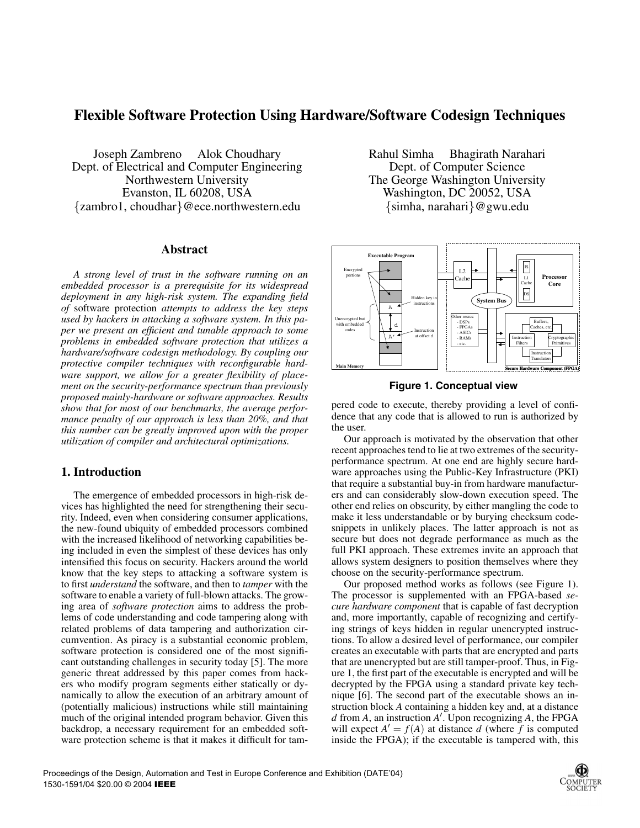# **Flexible Software Protection Using Hardware/Software Codesign Techniques**

Joseph Zambreno Alok Choudhary Dept. of Electrical and Computer Engineering Northwestern University Evanston, IL 60208, USA {zambro1, choudhar}@ece.northwestern.edu

### **Abstract**

*A strong level of trust in the software running on an embedded processor is a prerequisite for its widespread deployment in any high-risk system. The expanding field of* software protection *attempts to address the key steps used by hackers in attacking a software system. In this paper we present an efficient and tunable approach to some problems in embedded software protection that utilizes a hardware/software codesign methodology. By coupling our protective compiler techniques with reconfigurable hardware support, we allow for a greater flexibility of placement on the security-performance spectrum than previously proposed mainly-hardware or software approaches. Results show that for most of our benchmarks, the average performance penalty of our approach is less than 20%, and that this number can be greatly improved upon with the proper utilization of compiler and architectural optimizations.*

# **1. Introduction**

The emergence of embedded processors in high-risk devices has highlighted the need for strengthening their security. Indeed, even when considering consumer applications, the new-found ubiquity of embedded processors combined with the increased likelihood of networking capabilities being included in even the simplest of these devices has only intensified this focus on security. Hackers around the world know that the key steps to attacking a software system is to first *understand* the software, and then to *tamper* with the software to enable a variety of full-blown attacks. The growing area of *software protection* aims to address the problems of code understanding and code tampering along with related problems of data tampering and authorization circumvention. As piracy is a substantial economic problem, software protection is considered one of the most significant outstanding challenges in security today [5]. The more generic threat addressed by this paper comes from hackers who modify program segments either statically or dynamically to allow the execution of an arbitrary amount of (potentially malicious) instructions while still maintaining much of the original intended program behavior. Given this backdrop, a necessary requirement for an embedded software protection scheme is that it makes it difficult for tamRahul Simha Bhagirath Narahari Dept. of Computer Science The George Washington University Washington, DC 20052, USA {simha, narahari}@gwu.edu





pered code to execute, thereby providing a level of confidence that any code that is allowed to run is authorized by the user.

Our approach is motivated by the observation that other recent approaches tend to lie at two extremes of the securityperformance spectrum. At one end are highly secure hardware approaches using the Public-Key Infrastructure (PKI) that require a substantial buy-in from hardware manufacturers and can considerably slow-down execution speed. The other end relies on obscurity, by either mangling the code to make it less understandable or by burying checksum codesnippets in unlikely places. The latter approach is not as secure but does not degrade performance as much as the full PKI approach. These extremes invite an approach that allows system designers to position themselves where they choose on the security-performance spectrum.

Our proposed method works as follows (see Figure 1). The processor is supplemented with an FPGA-based *secure hardware component* that is capable of fast decryption and, more importantly, capable of recognizing and certifying strings of keys hidden in regular unencrypted instructions. To allow a desired level of performance, our compiler creates an executable with parts that are encrypted and parts that are unencrypted but are still tamper-proof. Thus, in Figure 1, the first part of the executable is encrypted and will be decrypted by the FPGA using a standard private key technique [6]. The second part of the executable shows an instruction block *A* containing a hidden key and, at a distance *d* from *A*, an instruction *A* . Upon recognizing *A*, the FPGA will expect  $A' = f(A)$  at distance *d* (where *f* is computed inside the FPGA); if the executable is tampered with, this

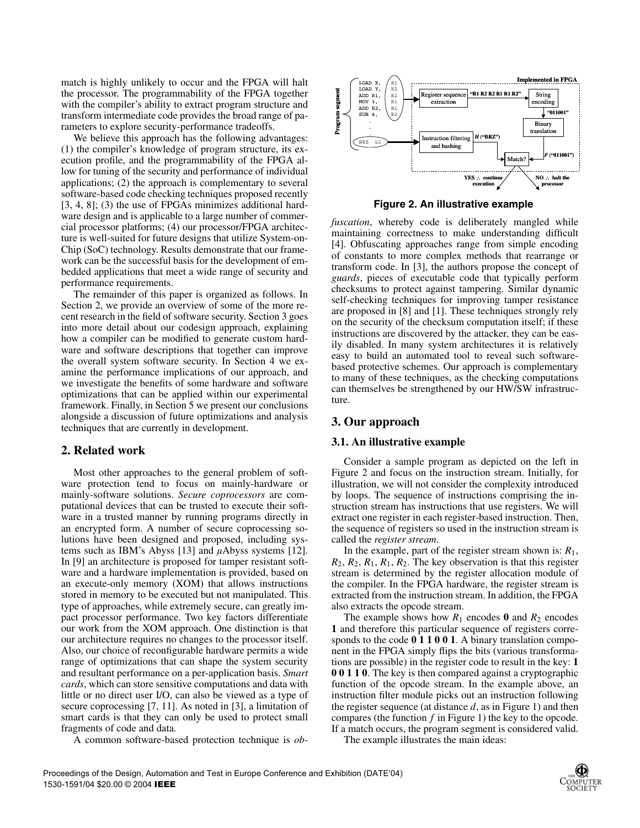match is highly unlikely to occur and the FPGA will halt the processor. The programmability of the FPGA together with the compiler's ability to extract program structure and transform intermediate code provides the broad range of parameters to explore security-performance tradeoffs.

We believe this approach has the following advantages: (1) the compiler's knowledge of program structure, its execution profile, and the programmability of the FPGA allow for tuning of the security and performance of individual applications; (2) the approach is complementary to several software-based code checking techniques proposed recently [3, 4, 8]; (3) the use of FPGAs minimizes additional hardware design and is applicable to a large number of commercial processor platforms; (4) our processor/FPGA architecture is well-suited for future designs that utilize System-on-Chip (SoC) technology. Results demonstrate that our framework can be the successful basis for the development of embedded applications that meet a wide range of security and performance requirements.

The remainder of this paper is organized as follows. In Section 2, we provide an overview of some of the more recent research in the field of software security. Section 3 goes into more detail about our codesign approach, explaining how a compiler can be modified to generate custom hardware and software descriptions that together can improve the overall system software security. In Section 4 we examine the performance implications of our approach, and we investigate the benefits of some hardware and software optimizations that can be applied within our experimental framework. Finally, in Section 5 we present our conclusions alongside a discussion of future optimizations and analysis techniques that are currently in development.

### **2. Related work**

Most other approaches to the general problem of software protection tend to focus on mainly-hardware or mainly-software solutions. *Secure coprocessors* are computational devices that can be trusted to execute their software in a trusted manner by running programs directly in an encrypted form. A number of secure coprocessing solutions have been designed and proposed, including systems such as IBM's Abyss [13] and *µ*Abyss systems [12]. In [9] an architecture is proposed for tamper resistant software and a hardware implementation is provided, based on an execute-only memory (XOM) that allows instructions stored in memory to be executed but not manipulated. This type of approaches, while extremely secure, can greatly impact processor performance. Two key factors differentiate our work from the XOM approach. One distinction is that our architecture requires no changes to the processor itself. Also, our choice of reconfigurable hardware permits a wide range of optimizations that can shape the system security and resultant performance on a per-application basis. *Smart cards*, which can store sensitive computations and data with little or no direct user I/O, can also be viewed as a type of secure coprocessing [7, 11]. As noted in [3], a limitation of smart cards is that they can only be used to protect small fragments of code and data.





**Figure 2. An illustrative example**

*fuscation*, whereby code is deliberately mangled while maintaining correctness to make understanding difficult [4]. Obfuscating approaches range from simple encoding of constants to more complex methods that rearrange or transform code. In [3], the authors propose the concept of *guards*, pieces of executable code that typically perform checksums to protect against tampering. Similar dynamic self-checking techniques for improving tamper resistance are proposed in [8] and [1]. These techniques strongly rely on the security of the checksum computation itself; if these instructions are discovered by the attacker, they can be easily disabled. In many system architectures it is relatively easy to build an automated tool to reveal such softwarebased protective schemes. Our approach is complementary to many of these techniques, as the checking computations can themselves be strengthened by our HW/SW infrastructure.

#### **3. Our approach**

### **3.1. An illustrative example**

Consider a sample program as depicted on the left in Figure 2 and focus on the instruction stream. Initially, for illustration, we will not consider the complexity introduced by loops. The sequence of instructions comprising the instruction stream has instructions that use registers. We will extract one register in each register-based instruction. Then, the sequence of registers so used in the instruction stream is called the *register stream*.

In the example, part of the register stream shown is:  $R_1$ ,  $R_2, R_2, R_1, R_1, R_2$ . The key observation is that this register stream is determined by the register allocation module of the compiler. In the FPGA hardware, the register stream is extracted from the instruction stream. In addition, the FPGA also extracts the opcode stream.

The example shows how  $R_1$  encodes 0 and  $R_2$  encodes **1** and therefore this particular sequence of registers corresponds to the code **011001**. A binary translation component in the FPGA simply flips the bits (various transformations are possible) in the register code to result in the key: **1 00110**. The key is then compared against a cryptographic function of the opcode stream. In the example above, an instruction filter module picks out an instruction following the register sequence (at distance *d*, as in Figure 1) and then compares (the function *f* in Figure 1) the key to the opcode. If a match occurs, the program segment is considered valid.

The example illustrates the main ideas:

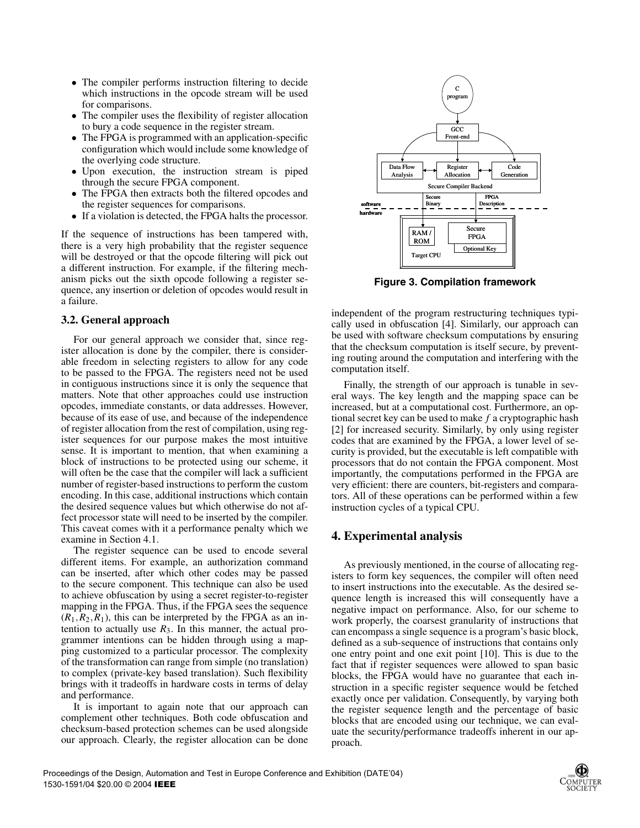- The compiler performs instruction filtering to decide which instructions in the opcode stream will be used for comparisons.
- The compiler uses the flexibility of register allocation to bury a code sequence in the register stream.
- The FPGA is programmed with an application-specific configuration which would include some knowledge of the overlying code structure.
- Upon execution, the instruction stream is piped through the secure FPGA component.
- The FPGA then extracts both the filtered opcodes and the register sequences for comparisons.
- If a violation is detected, the FPGA halts the processor.

If the sequence of instructions has been tampered with, there is a very high probability that the register sequence will be destroyed or that the opcode filtering will pick out a different instruction. For example, if the filtering mechanism picks out the sixth opcode following a register sequence, any insertion or deletion of opcodes would result in a failure.

#### **3.2. General approach**

For our general approach we consider that, since register allocation is done by the compiler, there is considerable freedom in selecting registers to allow for any code to be passed to the FPGA. The registers need not be used in contiguous instructions since it is only the sequence that matters. Note that other approaches could use instruction opcodes, immediate constants, or data addresses. However, because of its ease of use, and because of the independence of register allocation from the rest of compilation, using register sequences for our purpose makes the most intuitive sense. It is important to mention, that when examining a block of instructions to be protected using our scheme, it will often be the case that the compiler will lack a sufficient number of register-based instructions to perform the custom encoding. In this case, additional instructions which contain the desired sequence values but which otherwise do not affect processor state will need to be inserted by the compiler. This caveat comes with it a performance penalty which we examine in Section 4.1.

The register sequence can be used to encode several different items. For example, an authorization command can be inserted, after which other codes may be passed to the secure component. This technique can also be used to achieve obfuscation by using a secret register-to-register mapping in the FPGA. Thus, if the FPGA sees the sequence  $(R_1, R_2, R_1)$ , this can be interpreted by the FPGA as an intention to actually use  $R_3$ . In this manner, the actual programmer intentions can be hidden through using a mapping customized to a particular processor. The complexity of the transformation can range from simple (no translation) to complex (private-key based translation). Such flexibility brings with it tradeoffs in hardware costs in terms of delay and performance.

It is important to again note that our approach can complement other techniques. Both code obfuscation and checksum-based protection schemes can be used alongside our approach. Clearly, the register allocation can be done



**Figure 3. Compilation framework**

independent of the program restructuring techniques typically used in obfuscation [4]. Similarly, our approach can be used with software checksum computations by ensuring that the checksum computation is itself secure, by preventing routing around the computation and interfering with the computation itself.

Finally, the strength of our approach is tunable in several ways. The key length and the mapping space can be increased, but at a computational cost. Furthermore, an optional secret key can be used to make *f* a cryptographic hash [2] for increased security. Similarly, by only using register codes that are examined by the FPGA, a lower level of security is provided, but the executable is left compatible with processors that do not contain the FPGA component. Most importantly, the computations performed in the FPGA are very efficient: there are counters, bit-registers and comparators. All of these operations can be performed within a few instruction cycles of a typical CPU.

# **4. Experimental analysis**

As previously mentioned, in the course of allocating registers to form key sequences, the compiler will often need to insert instructions into the executable. As the desired sequence length is increased this will consequently have a negative impact on performance. Also, for our scheme to work properly, the coarsest granularity of instructions that can encompass a single sequence is a program's basic block, defined as a sub-sequence of instructions that contains only one entry point and one exit point [10]. This is due to the fact that if register sequences were allowed to span basic blocks, the FPGA would have no guarantee that each instruction in a specific register sequence would be fetched exactly once per validation. Consequently, by varying both the register sequence length and the percentage of basic blocks that are encoded using our technique, we can evaluate the security/performance tradeoffs inherent in our approach.

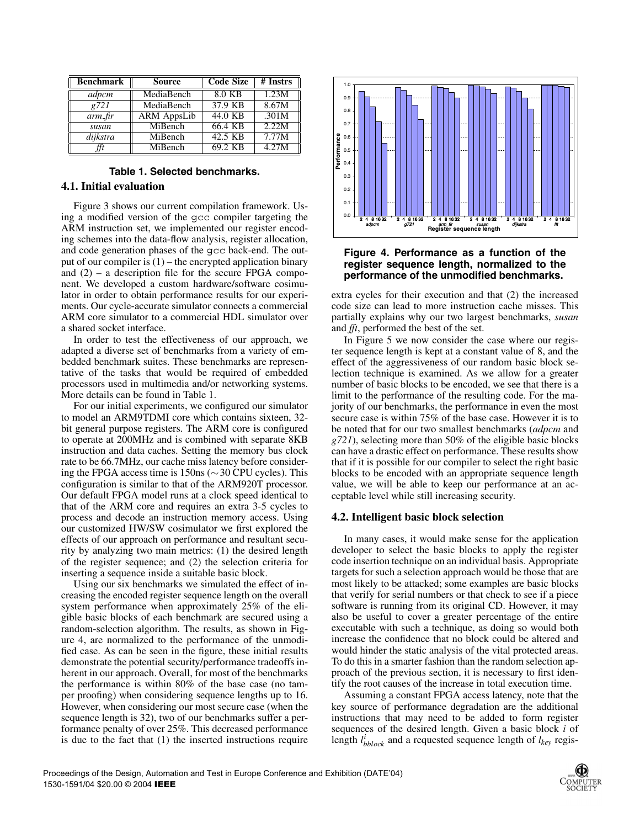| <b>Benchmark</b> | Source      | Code Size | # Instrs |
|------------------|-------------|-----------|----------|
| adpcm            | MediaBench  | 8.0 KB    | 1.23M    |
| g721             | MediaBench  | 37.9 KB   | 8.67M    |
| arm fir          | ARM AppsLib | 44.0 KB   | .301M    |
| susan            | MiBench     | 66.4 KB   | 2.22M    |
| dijkstra         | MiBench     | 42.5 KB   | 7.77M    |
|                  | MiBench     | 69.2 KB   | 4.27M    |

| Table 1. Selected benchmarks. |  |
|-------------------------------|--|
| 4.1. Initial evaluation       |  |

Figure 3 shows our current compilation framework. Using a modified version of the gcc compiler targeting the ARM instruction set, we implemented our register encoding schemes into the data-flow analysis, register allocation, and code generation phases of the gcc back-end. The output of our compiler is  $(1)$  – the encrypted application binary and  $(2)$  – a description file for the secure FPGA component. We developed a custom hardware/software cosimulator in order to obtain performance results for our experiments. Our cycle-accurate simulator connects a commercial ARM core simulator to a commercial HDL simulator over a shared socket interface.

In order to test the effectiveness of our approach, we adapted a diverse set of benchmarks from a variety of embedded benchmark suites. These benchmarks are representative of the tasks that would be required of embedded processors used in multimedia and/or networking systems. More details can be found in Table 1.

For our initial experiments, we configured our simulator to model an ARM9TDMI core which contains sixteen, 32 bit general purpose registers. The ARM core is configured to operate at 200MHz and is combined with separate 8KB instruction and data caches. Setting the memory bus clock rate to be 66.7MHz, our cache miss latency before considering the FPGA access time is 150ns (∼30 CPU cycles). This configuration is similar to that of the ARM920T processor. Our default FPGA model runs at a clock speed identical to that of the ARM core and requires an extra 3-5 cycles to process and decode an instruction memory access. Using our customized HW/SW cosimulator we first explored the effects of our approach on performance and resultant security by analyzing two main metrics: (1) the desired length of the register sequence; and (2) the selection criteria for inserting a sequence inside a suitable basic block.

Using our six benchmarks we simulated the effect of increasing the encoded register sequence length on the overall system performance when approximately 25% of the eligible basic blocks of each benchmark are secured using a random-selection algorithm. The results, as shown in Figure 4, are normalized to the performance of the unmodified case. As can be seen in the figure, these initial results demonstrate the potential security/performance tradeoffs inherent in our approach. Overall, for most of the benchmarks the performance is within 80% of the base case (no tamper proofing) when considering sequence lengths up to 16. However, when considering our most secure case (when the sequence length is 32), two of our benchmarks suffer a performance penalty of over 25%. This decreased performance is due to the fact that (1) the inserted instructions require



**Figure 4. Performance as a function of the register sequence length, normalized to the performance of the unmodified benchmarks.**

extra cycles for their execution and that (2) the increased code size can lead to more instruction cache misses. This partially explains why our two largest benchmarks, *susan* and *fft*, performed the best of the set.

In Figure 5 we now consider the case where our register sequence length is kept at a constant value of 8, and the effect of the aggressiveness of our random basic block selection technique is examined. As we allow for a greater number of basic blocks to be encoded, we see that there is a limit to the performance of the resulting code. For the majority of our benchmarks, the performance in even the most secure case is within 75% of the base case. However it is to be noted that for our two smallest benchmarks (*adpcm* and *g721*), selecting more than 50% of the eligible basic blocks can have a drastic effect on performance. These results show that if it is possible for our compiler to select the right basic blocks to be encoded with an appropriate sequence length value, we will be able to keep our performance at an acceptable level while still increasing security.

# **4.2. Intelligent basic block selection**

In many cases, it would make sense for the application developer to select the basic blocks to apply the register code insertion technique on an individual basis. Appropriate targets for such a selection approach would be those that are most likely to be attacked; some examples are basic blocks that verify for serial numbers or that check to see if a piece software is running from its original CD. However, it may also be useful to cover a greater percentage of the entire executable with such a technique, as doing so would both increase the confidence that no block could be altered and would hinder the static analysis of the vital protected areas. To do this in a smarter fashion than the random selection approach of the previous section, it is necessary to first identify the root causes of the increase in total execution time.

Assuming a constant FPGA access latency, note that the key source of performance degradation are the additional instructions that may need to be added to form register sequences of the desired length. Given a basic block *i* of length  $l_{bblock}^i$  and a requested sequence length of  $l_{key}$  regis-

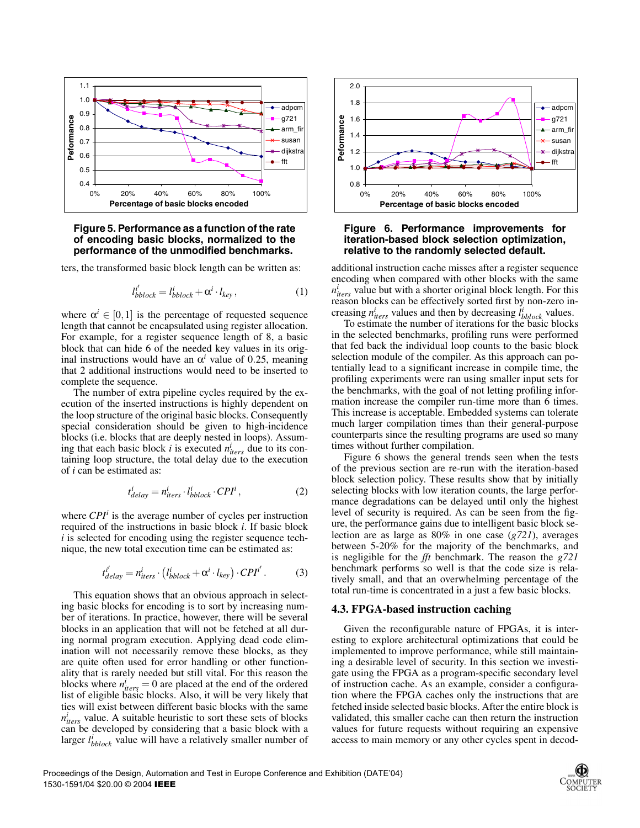

#### **Figure 5. Performance as a function of the rate of encoding basic blocks, normalized to the performance of the unmodified benchmarks.**

ters, the transformed basic block length can be written as:

$$
l_{bblock}^{i'} = l_{bblock}^{i} + \alpha^{i} \cdot l_{key}, \qquad (1)
$$

where  $\alpha^{i} \in [0,1]$  is the percentage of requested sequence length that cannot be encapsulated using register allocation. For example, for a register sequence length of 8, a basic block that can hide 6 of the needed key values in its original instructions would have an  $\alpha^i$  value of 0.25, meaning that 2 additional instructions would need to be inserted to complete the sequence.

The number of extra pipeline cycles required by the execution of the inserted instructions is highly dependent on the loop structure of the original basic blocks. Consequently special consideration should be given to high-incidence blocks (i.e. blocks that are deeply nested in loops). Assuming that each basic block  $i$  is executed  $n_{iters}^i$  due to its containing loop structure, the total delay due to the execution of *i* can be estimated as:

$$
t_{delay}^i = n_{iters}^i \cdot l_{bblock}^i \cdot CPI^i , \qquad (2)
$$

where *CPI<sup>i</sup>* is the average number of cycles per instruction required of the instructions in basic block *i*. If basic block *i* is selected for encoding using the register sequence technique, the new total execution time can be estimated as:

$$
t_{delay}^{i'} = n_{iters}^{i} \cdot (l_{block}^{i} + \alpha^{i} \cdot l_{key}) \cdot CPI^{i'}.
$$
 (3)

This equation shows that an obvious approach in selecting basic blocks for encoding is to sort by increasing number of iterations. In practice, however, there will be several blocks in an application that will not be fetched at all during normal program execution. Applying dead code elimination will not necessarily remove these blocks, as they are quite often used for error handling or other functionality that is rarely needed but still vital. For this reason the blocks where  $n_{iters}^i = 0$  are placed at the end of the ordered list of eligible basic blocks. Also, it will be very likely that ties will exist between different basic blocks with the same  $n_{iters}^i$  value. A suitable heuristic to sort these sets of blocks can be developed by considering that a basic block with a larger  $l_{bblock}^i$  value will have a relatively smaller number of



**Figure 6. Performance improvements for iteration-based block selection optimization, relative to the randomly selected default.**

additional instruction cache misses after a register sequence encoding when compared with other blocks with the same  $n_{iters}^i$  value but with a shorter original block length. For this reason blocks can be effectively sorted first by non-zero increasing  $n_{iters}^i$  values and then by decreasing  $l_{bblock}^i$  values.

To estimate the number of iterations for the basic blocks in the selected benchmarks, profiling runs were performed that fed back the individual loop counts to the basic block selection module of the compiler. As this approach can potentially lead to a significant increase in compile time, the profiling experiments were ran using smaller input sets for the benchmarks, with the goal of not letting profiling information increase the compiler run-time more than 6 times. This increase is acceptable. Embedded systems can tolerate much larger compilation times than their general-purpose counterparts since the resulting programs are used so many times without further compilation.

Figure 6 shows the general trends seen when the tests of the previous section are re-run with the iteration-based block selection policy. These results show that by initially selecting blocks with low iteration counts, the large performance degradations can be delayed until only the highest level of security is required. As can be seen from the figure, the performance gains due to intelligent basic block selection are as large as 80% in one case (*g721*), averages between 5-20% for the majority of the benchmarks, and is negligible for the *fft* benchmark. The reason the *g721* benchmark performs so well is that the code size is relatively small, and that an overwhelming percentage of the total run-time is concentrated in a just a few basic blocks.

#### **4.3. FPGA-based instruction caching**

Given the reconfigurable nature of FPGAs, it is interesting to explore architectural optimizations that could be implemented to improve performance, while still maintaining a desirable level of security. In this section we investigate using the FPGA as a program-specific secondary level of instruction cache. As an example, consider a configuration where the FPGA caches only the instructions that are fetched inside selected basic blocks. After the entire block is validated, this smaller cache can then return the instruction values for future requests without requiring an expensive access to main memory or any other cycles spent in decod-